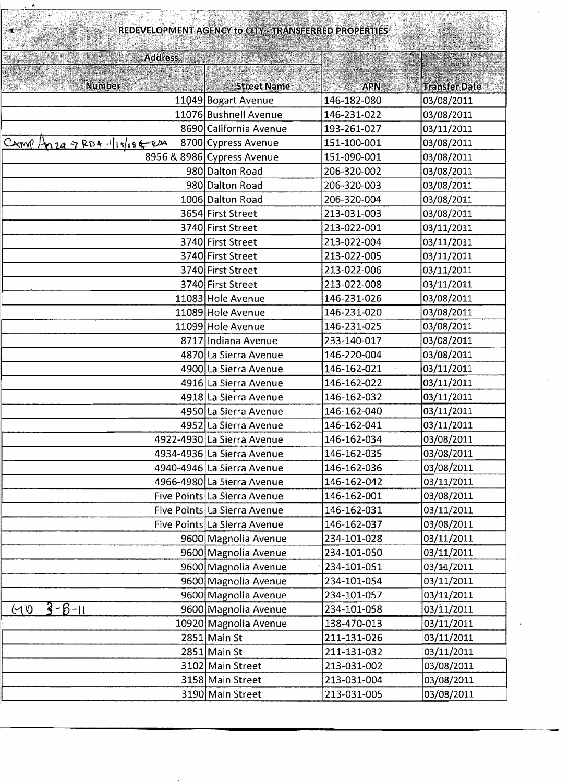| REDEVELOPMENT AGENCY to CITY - TRANSFERRED PROPERTIES |                              |             |                      |
|-------------------------------------------------------|------------------------------|-------------|----------------------|
| <b>Address</b>                                        |                              |             |                      |
|                                                       |                              |             |                      |
| <b>Number</b>                                         | <b>Street Name</b>           | <b>APN</b>  | <b>Transfer Date</b> |
|                                                       | 11049 Bogart Avenue          | 146-182-080 | 03/08/2011           |
|                                                       | 11076 Bushnell Avenue        | 146-231-022 | 03/08/2011           |
|                                                       | 8690 California Avenue       | 193-261-027 | 03/11/2011           |
| Carry Anza 7 RDA : 1/18/08 6-RDA                      | 8700 Cypress Avenue          | 151-100-001 | 03/08/2011           |
|                                                       | 8956 & 8986 Cypress Avenue   | 151-090-001 | 03/08/2011           |
|                                                       | 980 Dalton Road              | 206-320-002 | 03/08/2011           |
|                                                       | 980 Dalton Road              | 206-320-003 | 03/08/2011           |
|                                                       | 1006 Dalton Road             | 206-320-004 | 03/08/2011           |
|                                                       | 3654 First Street            | 213-031-003 | 03/08/2011           |
|                                                       | 3740 First Street            | 213-022-001 | 03/11/2011           |
|                                                       | 3740 First Street            | 213-022-004 | 03/11/2011           |
|                                                       | 3740 First Street            | 213-022-005 | 03/11/2011           |
|                                                       | 3740 First Street            | 213-022-006 | 03/11/2011           |
|                                                       | 3740 First Street            | 213-022-008 | 03/11/2011           |
|                                                       | 11083 Hole Avenue            | 146-231-026 | 03/08/2011           |
|                                                       | 11089 Hole Avenue            | 146-231-020 | 03/08/2011           |
|                                                       | 11099 Hole Avenue            | 146-231-025 | 03/08/2011           |
|                                                       | 8717 Indiana Avenue          | 233-140-017 | 03/08/2011           |
|                                                       | 4870 La Sierra Avenue        | 146-220-004 | 03/08/2011           |
|                                                       | 4900 La Sierra Avenue        | 146-162-021 | 03/11/2011           |
|                                                       | 4916 La Sierra Avenue        | 146-162-022 | 03/11/2011           |
|                                                       | 4918 La Sierra Avenue        | 146-162-032 | 03/11/2011           |
|                                                       | 4950 La Sierra Avenue        | 146-162-040 | 03/11/2011           |
|                                                       | 4952 La Sierra Avenue        | 146-162-041 | 03/11/2011           |
|                                                       | 4922-4930 La Sierra Avenue   | 146-162-034 | 03/08/2011           |
|                                                       | 4934-4936 La Sierra Avenue   | 146-162-035 | 03/08/2011           |
|                                                       | 4940-4946 La Sierra Avenue   | 146-162-036 | 03/08/2011           |
|                                                       | 4966-4980 La Sierra Avenue   | 146-162-042 | 03/11/2011           |
|                                                       | Five Points La Sierra Avenue | 146-162-001 | 03/08/2011           |
|                                                       | Five Points La Sierra Avenue | 146-162-031 | 03/11/2011           |
|                                                       | Five Points La Sierra Avenue | 146-162-037 | 03/08/2011           |
|                                                       | 9600 Magnolia Avenue         | 234-101-028 | 03/11/2011           |
|                                                       | 9600 Magnolia Avenue         | 234-101-050 | 03/11/2011           |
|                                                       | 9600 Magnolia Avenue         | 234-101-051 | 03/14/2011           |
|                                                       | 9600 Magnolia Avenue         | 234-101-054 | 03/11/2011           |
|                                                       | 9600 Magnolia Avenue         | 234-101-057 | 03/11/2011           |
| $3 - 8 - 11$<br>(10)                                  | 9600 Magnolia Avenue         | 234-101-058 | 03/11/2011           |
|                                                       | 10920 Magnolia Avenue        | 138-470-013 | 03/11/2011           |
|                                                       | $2851$ Main St               | 211-131-026 | 03/11/2011           |
|                                                       | 2851 Main St                 | 211-131-032 | 03/11/2011           |
|                                                       | 3102 Main Street             | 213-031-002 | 03/08/2011           |
|                                                       | 3158 Main Street             | 213-031-004 | 03/08/2011           |
|                                                       | 3190 Main Street             | 213-031-005 | 03/08/2011           |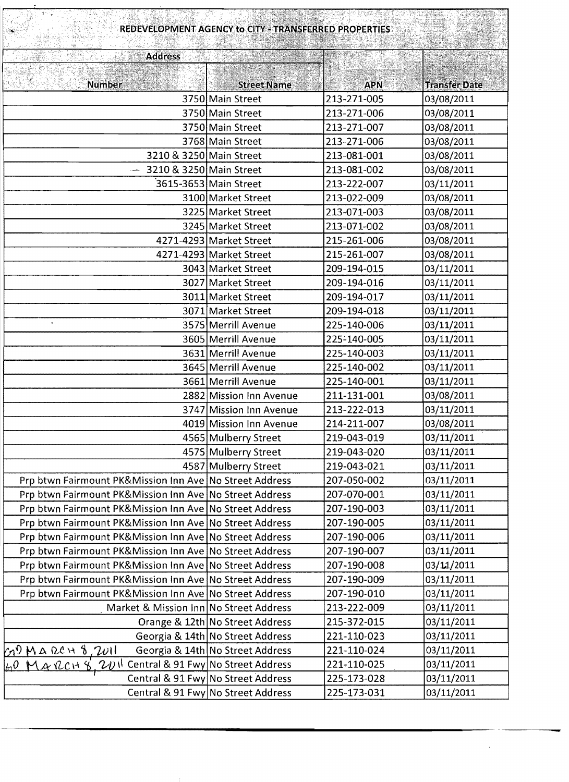| REDEVELOPMENT AGENCY to CITY - TRANSFERRED PROPERTIES        |                                    |             |                      |  |
|--------------------------------------------------------------|------------------------------------|-------------|----------------------|--|
| <b>Address</b>                                               |                                    |             |                      |  |
|                                                              |                                    |             |                      |  |
| <b>Number</b>                                                | <b>Street Name</b>                 | <b>APN</b>  | <b>Transfer Date</b> |  |
|                                                              | 3750 Main Street                   | 213-271-005 | 03/08/2011           |  |
|                                                              | 3750 Main Street                   | 213-271-006 | 03/08/2011           |  |
|                                                              | 3750 Main Street                   | 213-271-007 | 03/08/2011           |  |
|                                                              | 3768 Main Street                   | 213-271-006 | 03/08/2011           |  |
| 3210 & 3250 Main Street                                      |                                    | 213-081-001 | 03/08/2011           |  |
| $-$ 3210 & 3250 Main Street                                  |                                    | 213-081-002 | 03/08/2011           |  |
|                                                              | 3615-3653 Main Street              | 213-222-007 | 03/11/2011           |  |
|                                                              | 3100 Market Street                 | 213-022-009 | 03/08/2011           |  |
|                                                              | 3225 Market Street                 | 213-071-003 | 03/08/2011           |  |
|                                                              | 3245 Market Street                 | 213-071-002 | 03/08/2011           |  |
|                                                              | 4271-4293 Market Street            | 215-261-006 | 03/08/2011           |  |
|                                                              | 4271-4293 Market Street            | 215-261-007 | 03/08/2011           |  |
|                                                              | 3043 Market Street                 | 209-194-015 | 03/11/2011           |  |
|                                                              | 3027 Market Street                 | 209-194-016 | 03/11/2011           |  |
|                                                              | 3011 Market Street                 | 209-194-017 | 03/11/2011           |  |
|                                                              | 3071 Market Street                 | 209-194-018 | 03/11/2011           |  |
| $\bullet$                                                    | 3575 Merrill Avenue                | 225-140-006 | 03/11/2011           |  |
|                                                              | 3605 Merrill Avenue                | 225-140-005 | 03/11/2011           |  |
|                                                              | 3631 Merrill Avenue                | 225-140-003 | 03/11/2011           |  |
|                                                              | 3645 Merrill Avenue                | 225-140-002 | 03/11/2011           |  |
|                                                              | 3661 Merrill Avenue                | 225-140-001 | 03/11/2011           |  |
|                                                              | 2882 Mission Inn Avenue            | 211-131-001 | 03/08/2011           |  |
|                                                              | 3747 Mission Inn Avenue            | 213-222-013 | 03/11/2011           |  |
|                                                              | 4019 Mission Inn Avenue            | 214-211-007 | 03/08/2011           |  |
|                                                              | 4565 Mulberry Street               | 219-043-019 | 03/11/2011           |  |
|                                                              | 4575 Mulberry Street               | 219-043-020 | 03/11/2011           |  |
|                                                              | 4587 Mulberry Street               | 219-043-021 | 03/11/2011           |  |
| Prp btwn Fairmount PK&Mission Inn Ave No Street Address      |                                    | 207-050-002 | 03/11/2011           |  |
| Prp btwn Fairmount PK&Mission Inn Ave No Street Address      |                                    | 207-070-001 | 03/11/2011           |  |
| Prp btwn Fairmount PK&Mission Inn Ave No Street Address      |                                    | 207-190-003 | 03/11/2011           |  |
| Prp btwn Fairmount PK&Mission Inn Ave No Street Address      |                                    | 207-190-005 | 03/11/2011           |  |
| Prp btwn Fairmount PK&Mission Inn Ave No Street Address      |                                    | 207-190-006 | 03/11/2011           |  |
| Prp btwn Fairmount PK&Mission Inn Ave No Street Address      |                                    | 207-190-007 | 03/11/2011           |  |
| Prp btwn Fairmount PK&Mission Inn Ave No Street Address      |                                    | 207-190-008 | 03/11/2011           |  |
| Prp btwn Fairmount PK&Mission Inn Ave No Street Address      |                                    | 207-190-009 | 03/11/2011           |  |
| Prp btwn Fairmount PK&Mission Inn Ave No Street Address      |                                    | 207-190-010 | 03/11/2011           |  |
| Market & Mission Inn No Street Address                       |                                    | 213-222-009 | 03/11/2011           |  |
|                                                              | Orange & 12th No Street Address    | 215-372-015 | 03/11/2011           |  |
|                                                              | Georgia & 14th No Street Address   | 221-110-023 | 03/11/2011           |  |
| $(20)$ March 8, 2011                                         | Georgia & 14th No Street Address   | 221-110-024 | 03/11/2011           |  |
| <u> イル ncit も、フルト Central &amp; 91 Fwy No Street Address</u> |                                    | 221-110-025 | 03/11/2011           |  |
|                                                              | Central & 91 Fwy No Street Address | 225-173-028 | 03/11/2011           |  |
|                                                              | Central & 91 Fwy No Street Address | 225-173-031 | 03/11/2011           |  |

 $\sim$   $\sim$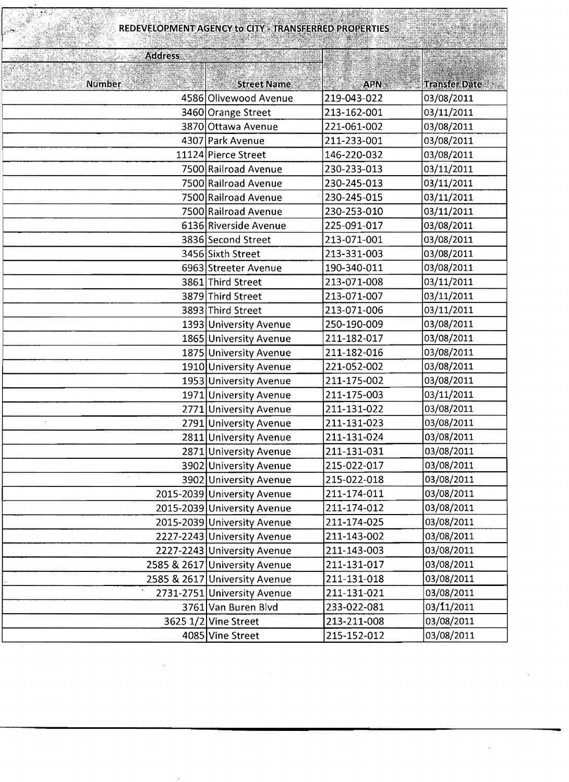| REDEVELOPMENT AGENCY to CITY - TRANSFERRED PROPERTIES |                               |             |                      |  |
|-------------------------------------------------------|-------------------------------|-------------|----------------------|--|
| <b>Address</b>                                        |                               |             |                      |  |
|                                                       |                               |             |                      |  |
| Number                                                | <b>Street Name</b>            | <b>APN</b>  | <b>Transfer Date</b> |  |
|                                                       | 4586 Olivewood Avenue         | 219-043-022 | 03/08/2011           |  |
|                                                       | 3460 Orange Street            | 213-162-001 | 03/11/2011           |  |
|                                                       | 3870 Ottawa Avenue            | 221-061-002 | 03/08/2011           |  |
|                                                       | 4307 Park Avenue              | 211-233-001 | 03/08/2011           |  |
|                                                       | 11124 Pierce Street           | 146-220-032 | 03/08/2011           |  |
|                                                       | 7500 Railroad Avenue          | 230-233-013 | 03/11/2011           |  |
|                                                       | 7500 Railroad Avenue          | 230-245-013 | 03/11/2011           |  |
|                                                       | 7500 Railroad Avenue          | 230-245-015 | 03/11/2011           |  |
|                                                       | 7500 Railroad Avenue          | 230-253-010 | 03/11/2011           |  |
|                                                       | 6136 Riverside Avenue         | 225-091-017 | 03/08/2011           |  |
|                                                       | 3836 Second Street            | 213-071-001 | 03/08/2011           |  |
|                                                       | 3456 Sixth Street             | 213-331-003 | 03/08/2011           |  |
|                                                       | 6963 Streeter Avenue          | 190-340-011 | 03/08/2011           |  |
|                                                       | 3861 Third Street             | 213-071-008 | 03/11/2011           |  |
|                                                       | 3879 Third Street             | 213-071-007 | 03/11/2011           |  |
|                                                       | 3893 Third Street             | 213-071-006 | 03/11/2011           |  |
|                                                       | 1393 University Avenue        | 250-190-009 | 03/08/2011           |  |
|                                                       | 1865 University Avenue        | 211-182-017 | 03/08/2011           |  |
|                                                       | 1875 University Avenue        | 211-182-016 | 03/08/2011           |  |
|                                                       | 1910 University Avenue        | 221-052-002 | 03/08/2011           |  |
|                                                       | 1953 University Avenue        | 211-175-002 | 03/08/2011           |  |
|                                                       | 1971 University Avenue        | 211-175-003 | 03/11/2011           |  |
|                                                       | 2771 University Avenue        | 211-131-022 | 03/08/2011           |  |
|                                                       | 2791 University Avenue        | 211-131-023 | 03/08/2011           |  |
|                                                       | 2811 University Avenue        | 211-131-024 | 03/08/2011           |  |
|                                                       | 2871 University Avenue        | 211-131-031 | 03/08/2011           |  |
|                                                       | 3902 University Avenue        | 215-022-017 | 03/08/2011           |  |
|                                                       | 3902 University Avenue        | 215-022-018 | 03/08/2011           |  |
|                                                       | 2015-2039 University Avenue   | 211-174-011 | 03/08/2011           |  |
|                                                       | 2015-2039 University Avenue   | 211-174-012 | 03/08/2011           |  |
|                                                       | 2015-2039 University Avenue   | 211-174-025 | 03/08/2011           |  |
|                                                       | 2227-2243 University Avenue   | 211-143-002 | 03/08/2011           |  |
|                                                       | 2227-2243 University Avenue   | 211-143-003 | 03/08/2011           |  |
|                                                       | 2585 & 2617 University Avenue | 211-131-017 | 03/08/2011           |  |
|                                                       | 2585 & 2617 University Avenue | 211-131-018 | 03/08/2011           |  |
| $\mathbf{v}$                                          | 2731-2751 University Avenue   | 211-131-021 | 03/08/2011           |  |
|                                                       | 3761 Van Buren Blvd           | 233-022-081 | 03/11/2011           |  |
|                                                       | 3625 1/2 Vine Street          | 213-211-008 | 03/08/2011           |  |
|                                                       | 4085 Vine Street              | 215-152-012 | 03/08/2011           |  |

 $\ddot{\phantom{0}}$ 

 $\sim 10^{-1}$ 

 $\mathcal{L}^{\text{max}}_{\text{max}}$  ,  $\mathcal{L}^{\text{max}}_{\text{max}}$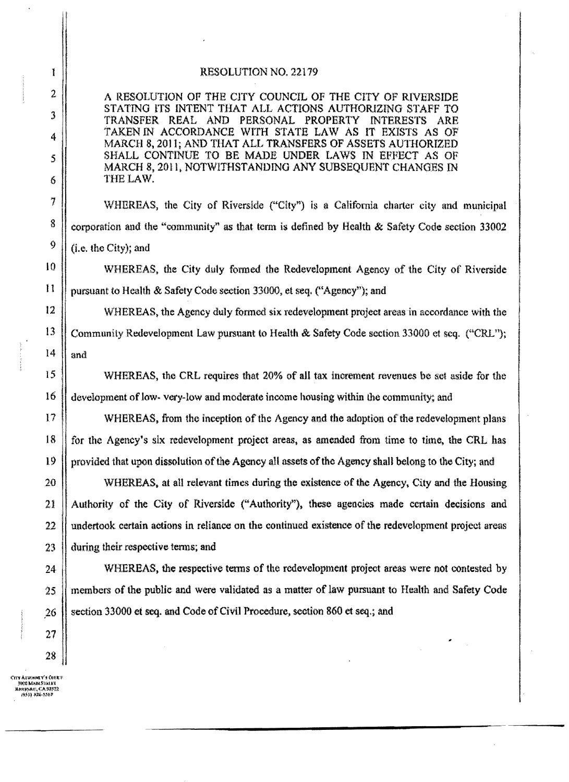## RESOLUTION NO. 22179

A RESOLUTION OF THE CITY COUNCIL OF THE CITY OF RIVERSIDE STATING ITS INTENT THAT ALL ACTIONS AUTHORIZING STAFF TO INTERESTS ARE TRANSFER REAL AND PERSONAL PROPERTY TAKEN IN ACCORDANCE WITH STATE LAW AS IT EXISTS AS OF MARCH 8, 2011; AND THAT ALL TRANSFERS OF ASSETS AUTHORIZED SHALL CONTINUE TO BE MADE UNDER LAWS IN EFFECT AS OF MARCH 8, 2011, NOTWITHSTANDING ANY SUBSEQUENT CHANGES IN THE LAW.

WHEREAS, the City of Riverside ("City") is a California charter city and municipal corporation and the "community" as that term is defined by Health & Safety Code section 33002 (i.e. the City); and

WHEREAS, the City duly formed the Redevelopment Agency of the City of Riverside pursuant to Health & Safety Code section 33000, et seq. ("Agency"); and

WHEREAS, the Agency duly formed six redevelopment project areas in accordance with the Community Redevelopment Law pursuant to Health & Safety Code section 33000 et seq. ("CRL"); and

WHEREAS, the CRL requires that 20% of all tax increment revenues be set aside for the development of low-very-low and moderate income housing within the community; and

WHEREAS, from the inception of the Agency and the adoption of the redevelopment plans for the Agency's six redevelopment project areas, as amended from time to time, the CRL has provided that upon dissolution of the Agency all assets of the Agency shall belong to the City; and

WHEREAS, at all relevant times during the existence of the Agency, City and the Housing Authority of the City of Riverside ("Authority"), these agencies made certain decisions and undertook certain actions in reliance on the continued existence of the redevelopment project areas during their respective terms; and

WHEREAS, the respective terms of the redevelopment project areas were not contested by members of the public and were validated as a matter of law pursuant to Health and Safety Code section 33000 et seq. and Code of Civil Procedure, section 860 et seq.; and

tity Atriumey's Cher ile meruret e ever<br>Bog MarcStrief<br>Hinepare, CA 92532<br>(953) 826-5557

Ţ

 $\overline{2}$ 

3

4

5

6

7

8

Ŷ

 $10$ 

 $\mathbf{1}$ 

 $12$ 

13

14

15

16

 $17$ 

18

19

20

21

22

23

24

 $25$ 

26

27

28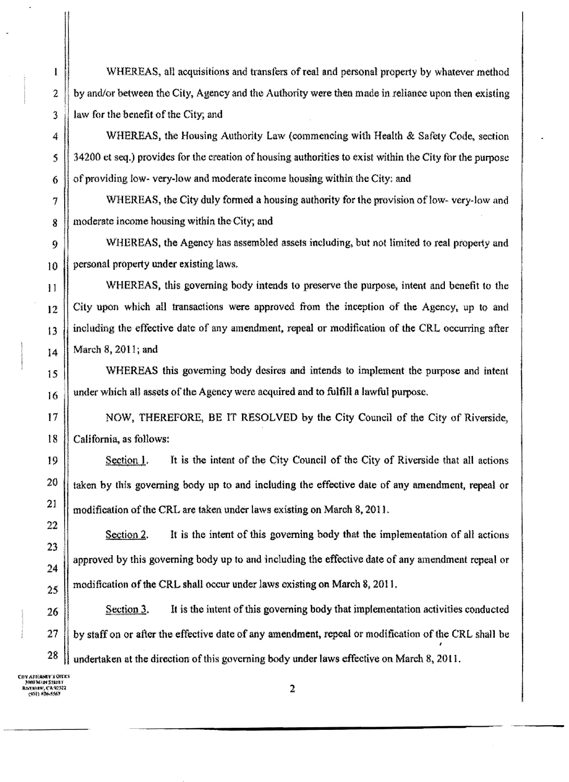WHEREAS, all acquisitions and transfers of real and personal property by whatever method by and/or between the City, Agency and the Authority were then made in reliance upon then existing law for the benefit of the City; and

WHEREAS, the Housing Authority Law (commencing with Health & Safety Code, section 34200 et seq.) provides for the creation of housing authorities to exist within the City for the purpose of providing low- very-low and moderate income housing within the City; and

WHEREAS, the City duly formed a housing authority for the provision of low-very-low and moderate income housing within the City; and

WHEREAS, the Agency has assembled assets including, but not limited to real property and personal property under existing laws.

WHEREAS, this governing body intends to preserve the purpose, intent and benefit to the City upon which all transactions were approved from the inception of the Agency, up to and including the effective date of any amendment, repeal or modification of the CRL occurring after March 8, 2011; and

WHEREAS this governing body desires and intends to implement the purpose and intent under which all assets of the Agency were acquired and to fulfill a lawful purpose.

NOW, THEREFORE, BE IT RESOLVED by the City Council of the City of Riverside, California, as follows:

Section 1. It is the intent of the City Council of the City of Riverside that all actions taken by this governing body up to and including the effective date of any amendment, repeal or modification of the CRL are taken under laws existing on March 8, 2011.

It is the intent of this governing body that the implementation of all actions Section 2. approved by this governing body up to and including the effective date of any amendment repeal or modification of the CRL shall occur under laws existing on March 8, 2011.

Section 3. It is the intent of this governing body that implementation activities conducted by staff on or after the effective date of any amendment, repeal or modification of the CRL shall be undertaken at the direction of this governing body under laws effective on March 8, 2011.

27 28 W MARI STRIKT ENTRER ("A 92522<br>- call a spensor"

 $\mathbf{I}$ 

 $\overline{2}$ 

3

4

 $\mathbf{S}$ 

6

7

 $\dot{g}$ 

 $\mathbf{q}$ 

10

 $11$ 

12

13

 $14$ 

15

16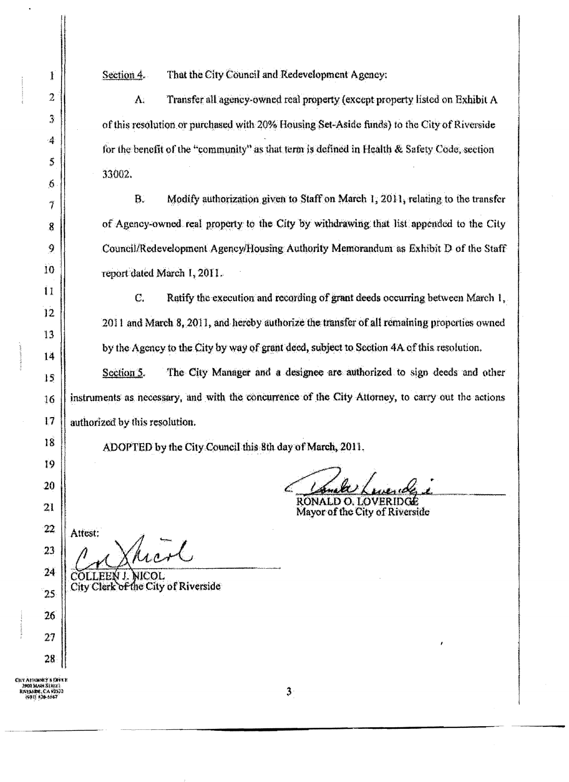That the City Council and Redevelopment Agency: Section  $4.$ 

Transfer all agency-owned real property (except property listed on Exhibit A  $\Lambda$ . of this resolution or purchased with 20% Housing Set-Aside funds) to the City of Riverside for the benefit of the "community" as that term is defined in Health & Safety Code, section 33002.

 $B<sub>r</sub>$ Modify authorization given to Staff on March 1, 2011, relating to the transfer of Agency-owned real property to the City by withdrawing that list appended to the City Council/Redevelopment Agency/Housing Authority Memorandum as Exhibit D of the Staff report dated March 1, 2011.

 $C_{r}$ Ratify the execution and recording of grant deeds occurring between March 1, 2011 and March 8, 2011, and hereby authorize the transfer of all remaining properties owned by the Agency to the City by way of grant deed, subject to Section 4A of this resolution.

The City Manager and a designee are authorized to sign deeds and other Section 5. instruments as necessary, and with the concurrence of the City Attorney, to carry out the actions authorized by this resolution.

ADOPTED by the City Council this 8th day of March, 2011.

RONALD O. LOVERIDGE Mayor of the City of Riverside

 $22$ 23

1

 $\overline{2}$ 

 $\mathfrak{Z}$ 

 $\overline{\mathcal{A}}$ 

\$

 $\mathbf 6$ 

7

 $\mathbf{g}$ 

9

10

 $\bar{1}$ 

12

13

 $14$ 

15

16

17

18

19

20

21

 $24$ 

25

26

27

28

Attest: hond,

COLLEEN J. NICOL City Clerk of the City of Riverside

Civ Ationoly a Urile<br>- 1900 Main Striet<br>- 1931 St<del>o 1847</del><br>- 1931 St<del>o 1847</del>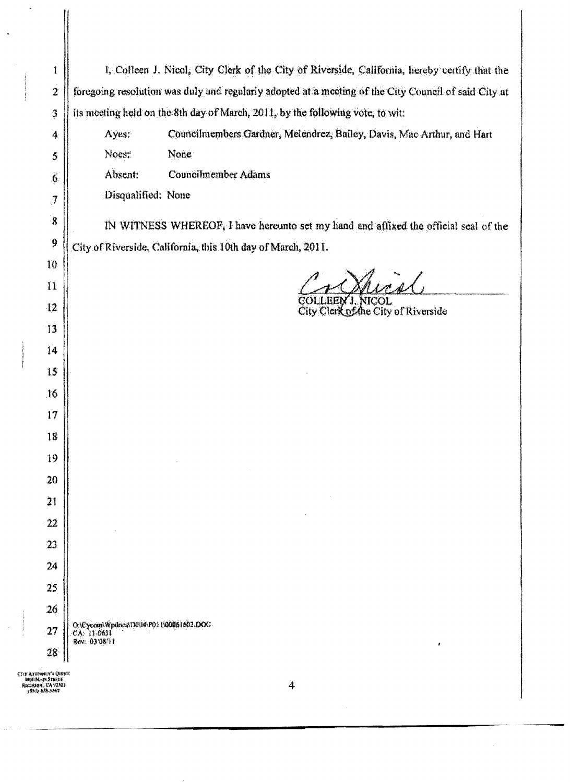| I                                                                          | I, Colleen J. Nicol, City Clerk of the City of Riverside, California, hereby certify that the        |
|----------------------------------------------------------------------------|------------------------------------------------------------------------------------------------------|
| $\overline{2}$                                                             | foregoing resolution was duly and regularly adopted at a meeting of the City Council of said City at |
| $\mathfrak{Z}$                                                             | its meeting held on the 8th day of March, 2011, by the following vote, to wit:                       |
| 4                                                                          | Councilmembers Gardner, Melendrez, Bailey, Davis, Mac Arthur, and Hart<br>Ayes:                      |
| 5                                                                          | None<br>Noes:                                                                                        |
| $\widehat{6}$                                                              | Absent:<br>Councilmember Adams                                                                       |
| $\boldsymbol{7}$                                                           | Disqualified: None                                                                                   |
| $\sqrt{8}$                                                                 | IN WITNESS WHEREOF, I have hereunto set my hand and affixed the official seal of the                 |
| 9                                                                          | City of Riverside, California, this 10th day of March, 2011.                                         |
| 10                                                                         |                                                                                                      |
| $\mathbf{1}$                                                               |                                                                                                      |
| 12                                                                         | COLLEEN J. NICOL<br>City Clerk of the City of Riverside                                              |
| $\mathbf{13}$                                                              |                                                                                                      |
| 14                                                                         |                                                                                                      |
| 15                                                                         |                                                                                                      |
| 16                                                                         |                                                                                                      |
| 17                                                                         |                                                                                                      |
| 18                                                                         |                                                                                                      |
| 19                                                                         |                                                                                                      |
| 20                                                                         |                                                                                                      |
| 21                                                                         |                                                                                                      |
| 22                                                                         |                                                                                                      |
| 23                                                                         |                                                                                                      |
| 24                                                                         |                                                                                                      |
| 25                                                                         |                                                                                                      |
| 26                                                                         |                                                                                                      |
| 27                                                                         | O.\Cycom\Wpdrses\D0114\P011\00061602.DOC.<br>CA 11-0631<br>Rev: 03/08/11                             |
| 28                                                                         | ,                                                                                                    |
| сту атенніч'я свеке<br>MINI-MAPI STREET<br>Receives, CA 92322.<br>(動力系統系統) | 4                                                                                                    |